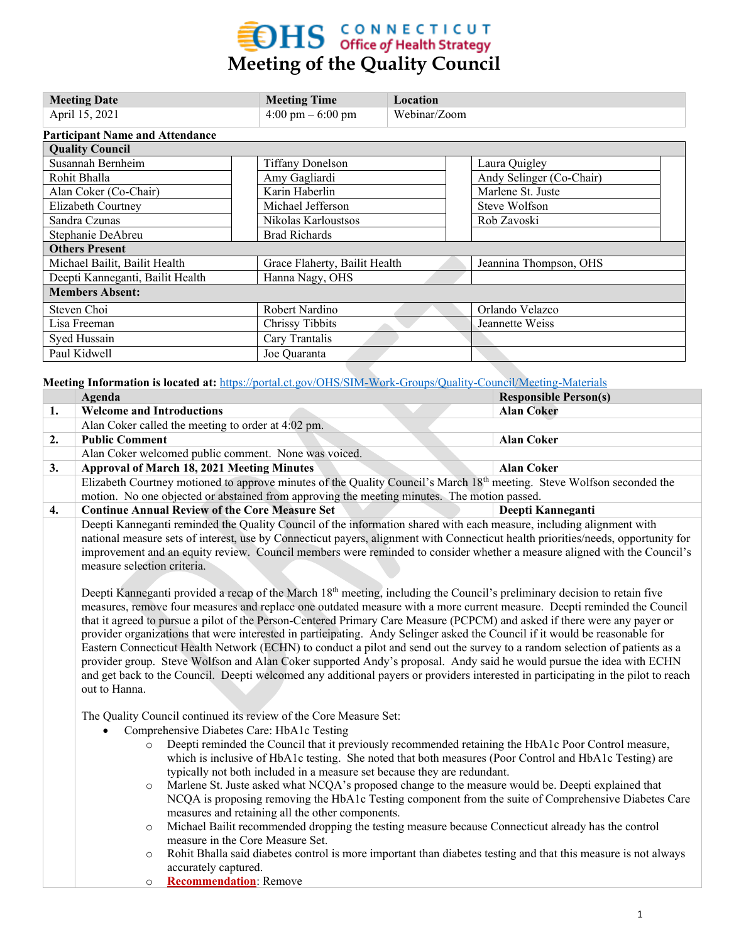# **EDHS** CONNECTICUT<br>
Meeting of the Quality Council

| <b>Meeting Date</b>                    | <b>Meeting Time</b>                 | Location     |                          |  |
|----------------------------------------|-------------------------------------|--------------|--------------------------|--|
| April 15, 2021                         | $4:00 \text{ pm} - 6:00 \text{ pm}$ | Webinar/Zoom |                          |  |
| <b>Participant Name and Attendance</b> |                                     |              |                          |  |
| <b>Quality Council</b>                 |                                     |              |                          |  |
| Susannah Bernheim                      | <b>Tiffany Donelson</b>             |              | Laura Quigley            |  |
| Rohit Bhalla                           | Amy Gagliardi                       |              | Andy Selinger (Co-Chair) |  |
| Alan Coker (Co-Chair)                  | Karin Haberlin                      |              | Marlene St. Juste        |  |
| Elizabeth Courtney                     | Michael Jefferson                   |              | Steve Wolfson            |  |
| Sandra Czunas                          | Nikolas Karloustsos                 |              | Rob Zavoski              |  |
| Stephanie DeAbreu                      | <b>Brad Richards</b>                |              |                          |  |
| <b>Others Present</b>                  |                                     |              |                          |  |
| Michael Bailit, Bailit Health          | Grace Flaherty, Bailit Health       |              | Jeannina Thompson, OHS   |  |
| Deepti Kanneganti, Bailit Health       | Hanna Nagy, OHS                     |              |                          |  |
| <b>Members Absent:</b>                 |                                     |              |                          |  |
| Steven Choi                            | Robert Nardino                      |              | Orlando Velazco          |  |
| Lisa Freeman                           | Chrissy Tibbits                     |              | Jeannette Weiss          |  |
| Syed Hussain                           | Cary Trantalis                      |              |                          |  |
| Paul Kidwell                           | Joe Quaranta                        |              |                          |  |

**Meeting Information is located at:** <https://portal.ct.gov/OHS/SIM-Work-Groups/Quality-Council/Meeting-Materials>

|    | Agenda                                                                                                                                                                                                                                                                                                                                                                                   |                                                                                                                             | <b>Responsible Person(s)</b> |  |  |  |
|----|------------------------------------------------------------------------------------------------------------------------------------------------------------------------------------------------------------------------------------------------------------------------------------------------------------------------------------------------------------------------------------------|-----------------------------------------------------------------------------------------------------------------------------|------------------------------|--|--|--|
| 1. | <b>Welcome and Introductions</b>                                                                                                                                                                                                                                                                                                                                                         |                                                                                                                             | <b>Alan Coker</b>            |  |  |  |
|    |                                                                                                                                                                                                                                                                                                                                                                                          | Alan Coker called the meeting to order at 4:02 pm.                                                                          |                              |  |  |  |
| 2. | <b>Public Comment</b>                                                                                                                                                                                                                                                                                                                                                                    |                                                                                                                             | <b>Alan Coker</b>            |  |  |  |
|    | Alan Coker welcomed public comment. None was voiced.                                                                                                                                                                                                                                                                                                                                     |                                                                                                                             |                              |  |  |  |
| 3. |                                                                                                                                                                                                                                                                                                                                                                                          | <b>Approval of March 18, 2021 Meeting Minutes</b>                                                                           | <b>Alan Coker</b>            |  |  |  |
|    | Elizabeth Courtney motioned to approve minutes of the Quality Council's March 18 <sup>th</sup> meeting. Steve Wolfson seconded the                                                                                                                                                                                                                                                       |                                                                                                                             |                              |  |  |  |
|    | motion. No one objected or abstained from approving the meeting minutes. The motion passed.                                                                                                                                                                                                                                                                                              |                                                                                                                             |                              |  |  |  |
| 4. |                                                                                                                                                                                                                                                                                                                                                                                          | <b>Continue Annual Review of the Core Measure Set</b>                                                                       | Deepti Kanneganti            |  |  |  |
|    |                                                                                                                                                                                                                                                                                                                                                                                          | Deepti Kanneganti reminded the Quality Council of the information shared with each measure, including alignment with        |                              |  |  |  |
|    | national measure sets of interest, use by Connecticut payers, alignment with Connecticut health priorities/needs, opportunity for                                                                                                                                                                                                                                                        |                                                                                                                             |                              |  |  |  |
|    | improvement and an equity review. Council members were reminded to consider whether a measure aligned with the Council's                                                                                                                                                                                                                                                                 |                                                                                                                             |                              |  |  |  |
|    | measure selection criteria.                                                                                                                                                                                                                                                                                                                                                              |                                                                                                                             |                              |  |  |  |
|    |                                                                                                                                                                                                                                                                                                                                                                                          |                                                                                                                             |                              |  |  |  |
|    |                                                                                                                                                                                                                                                                                                                                                                                          | Deepti Kanneganti provided a recap of the March 18th meeting, including the Council's preliminary decision to retain five   |                              |  |  |  |
|    | measures, remove four measures and replace one outdated measure with a more current measure. Deepti reminded the Council                                                                                                                                                                                                                                                                 |                                                                                                                             |                              |  |  |  |
|    |                                                                                                                                                                                                                                                                                                                                                                                          | that it agreed to pursue a pilot of the Person-Centered Primary Care Measure (PCPCM) and asked if there were any payer or   |                              |  |  |  |
|    |                                                                                                                                                                                                                                                                                                                                                                                          | provider organizations that were interested in participating. Andy Selinger asked the Council if it would be reasonable for |                              |  |  |  |
|    | Eastern Connecticut Health Network (ECHN) to conduct a pilot and send out the survey to a random selection of patients as a<br>provider group. Steve Wolfson and Alan Coker supported Andy's proposal. Andy said he would pursue the idea with ECHN<br>and get back to the Council. Deepti welcomed any additional payers or providers interested in participating in the pilot to reach |                                                                                                                             |                              |  |  |  |
|    |                                                                                                                                                                                                                                                                                                                                                                                          |                                                                                                                             |                              |  |  |  |
|    |                                                                                                                                                                                                                                                                                                                                                                                          |                                                                                                                             |                              |  |  |  |
|    | out to Hanna.                                                                                                                                                                                                                                                                                                                                                                            |                                                                                                                             |                              |  |  |  |
|    |                                                                                                                                                                                                                                                                                                                                                                                          |                                                                                                                             |                              |  |  |  |
|    | The Quality Council continued its review of the Core Measure Set:<br>Comprehensive Diabetes Care: HbA1c Testing                                                                                                                                                                                                                                                                          |                                                                                                                             |                              |  |  |  |
|    |                                                                                                                                                                                                                                                                                                                                                                                          |                                                                                                                             |                              |  |  |  |
|    | Deepti reminded the Council that it previously recommended retaining the HbA1c Poor Control measure,<br>$\circ$                                                                                                                                                                                                                                                                          |                                                                                                                             |                              |  |  |  |
|    |                                                                                                                                                                                                                                                                                                                                                                                          | which is inclusive of HbA1c testing. She noted that both measures (Poor Control and HbA1c Testing) are                      |                              |  |  |  |
|    |                                                                                                                                                                                                                                                                                                                                                                                          | typically not both included in a measure set because they are redundant.                                                    |                              |  |  |  |
|    | $\circ$                                                                                                                                                                                                                                                                                                                                                                                  | Marlene St. Juste asked what NCQA's proposed change to the measure would be. Deepti explained that                          |                              |  |  |  |
|    |                                                                                                                                                                                                                                                                                                                                                                                          | NCQA is proposing removing the HbA1c Testing component from the suite of Comprehensive Diabetes Care                        |                              |  |  |  |
|    |                                                                                                                                                                                                                                                                                                                                                                                          | measures and retaining all the other components.                                                                            |                              |  |  |  |
|    | $\circ$                                                                                                                                                                                                                                                                                                                                                                                  | Michael Bailit recommended dropping the testing measure because Connecticut already has the control                         |                              |  |  |  |
|    |                                                                                                                                                                                                                                                                                                                                                                                          | measure in the Core Measure Set.                                                                                            |                              |  |  |  |
|    |                                                                                                                                                                                                                                                                                                                                                                                          | $\circ$ Rohit Bhalla said diabetes control is more important than diabetes testing and that this measure is not always      |                              |  |  |  |

- rila said diabetes control is more important than diabetes testing accurately captured.
- o **Recommendation**: Remove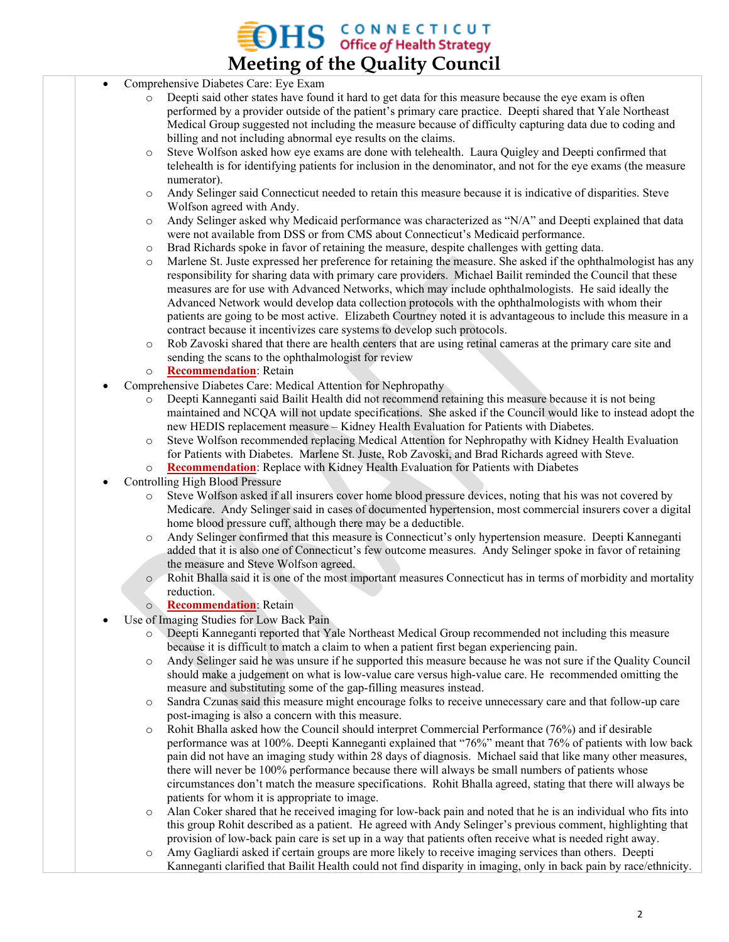## $\rm{DHS}$  CONNECTICUT of Health Strategy **Meeting of the Quality Council**

- Comprehensive Diabetes Care: Eye Exam
	- o Deepti said other states have found it hard to get data for this measure because the eye exam is often performed by a provider outside of the patient's primary care practice. Deepti shared that Yale Northeast Medical Group suggested not including the measure because of difficulty capturing data due to coding and billing and not including abnormal eye results on the claims.
	- o Steve Wolfson asked how eye exams are done with telehealth. Laura Quigley and Deepti confirmed that telehealth is for identifying patients for inclusion in the denominator, and not for the eye exams (the measure numerator).
	- o Andy Selinger said Connecticut needed to retain this measure because it is indicative of disparities. Steve Wolfson agreed with Andy.
	- o Andy Selinger asked why Medicaid performance was characterized as "N/A" and Deepti explained that data were not available from DSS or from CMS about Connecticut's Medicaid performance.
	- o Brad Richards spoke in favor of retaining the measure, despite challenges with getting data.
	- o Marlene St. Juste expressed her preference for retaining the measure. She asked if the ophthalmologist has any responsibility for sharing data with primary care providers. Michael Bailit reminded the Council that these measures are for use with Advanced Networks, which may include ophthalmologists. He said ideally the Advanced Network would develop data collection protocols with the ophthalmologists with whom their patients are going to be most active. Elizabeth Courtney noted it is advantageous to include this measure in a contract because it incentivizes care systems to develop such protocols.
	- o Rob Zavoski shared that there are health centers that are using retinal cameras at the primary care site and sending the scans to the ophthalmologist for review

#### o **Recommendation**: Retain

- Comprehensive Diabetes Care: Medical Attention for Nephropathy
	- o Deepti Kanneganti said Bailit Health did not recommend retaining this measure because it is not being maintained and NCQA will not update specifications. She asked if the Council would like to instead adopt the new HEDIS replacement measure – Kidney Health Evaluation for Patients with Diabetes.
	- o Steve Wolfson recommended replacing Medical Attention for Nephropathy with Kidney Health Evaluation for Patients with Diabetes. Marlene St. Juste, Rob Zavoski, and Brad Richards agreed with Steve.
	- o **Recommendation**: Replace with Kidney Health Evaluation for Patients with Diabetes
- Controlling High Blood Pressure
	- o Steve Wolfson asked if all insurers cover home blood pressure devices, noting that his was not covered by Medicare. Andy Selinger said in cases of documented hypertension, most commercial insurers cover a digital home blood pressure cuff, although there may be a deductible.
	- o Andy Selinger confirmed that this measure is Connecticut's only hypertension measure. Deepti Kanneganti added that it is also one of Connecticut's few outcome measures. Andy Selinger spoke in favor of retaining the measure and Steve Wolfson agreed.
	- o Rohit Bhalla said it is one of the most important measures Connecticut has in terms of morbidity and mortality reduction.
	- o **Recommendation**: Retain
- Use of Imaging Studies for Low Back Pain
	- Deepti Kanneganti reported that Yale Northeast Medical Group recommended not including this measure because it is difficult to match a claim to when a patient first began experiencing pain.
	- o Andy Selinger said he was unsure if he supported this measure because he was not sure if the Quality Council should make a judgement on what is low-value care versus high-value care. He recommended omitting the measure and substituting some of the gap-filling measures instead.
	- o Sandra Czunas said this measure might encourage folks to receive unnecessary care and that follow-up care post-imaging is also a concern with this measure.
	- o Rohit Bhalla asked how the Council should interpret Commercial Performance (76%) and if desirable performance was at 100%. Deepti Kanneganti explained that "76%" meant that 76% of patients with low back pain did not have an imaging study within 28 days of diagnosis. Michael said that like many other measures, there will never be 100% performance because there will always be small numbers of patients whose circumstances don't match the measure specifications. Rohit Bhalla agreed, stating that there will always be patients for whom it is appropriate to image.
	- o Alan Coker shared that he received imaging for low-back pain and noted that he is an individual who fits into this group Rohit described as a patient. He agreed with Andy Selinger's previous comment, highlighting that provision of low-back pain care is set up in a way that patients often receive what is needed right away.
	- o Amy Gagliardi asked if certain groups are more likely to receive imaging services than others. Deepti Kanneganti clarified that Bailit Health could not find disparity in imaging, only in back pain by race/ethnicity.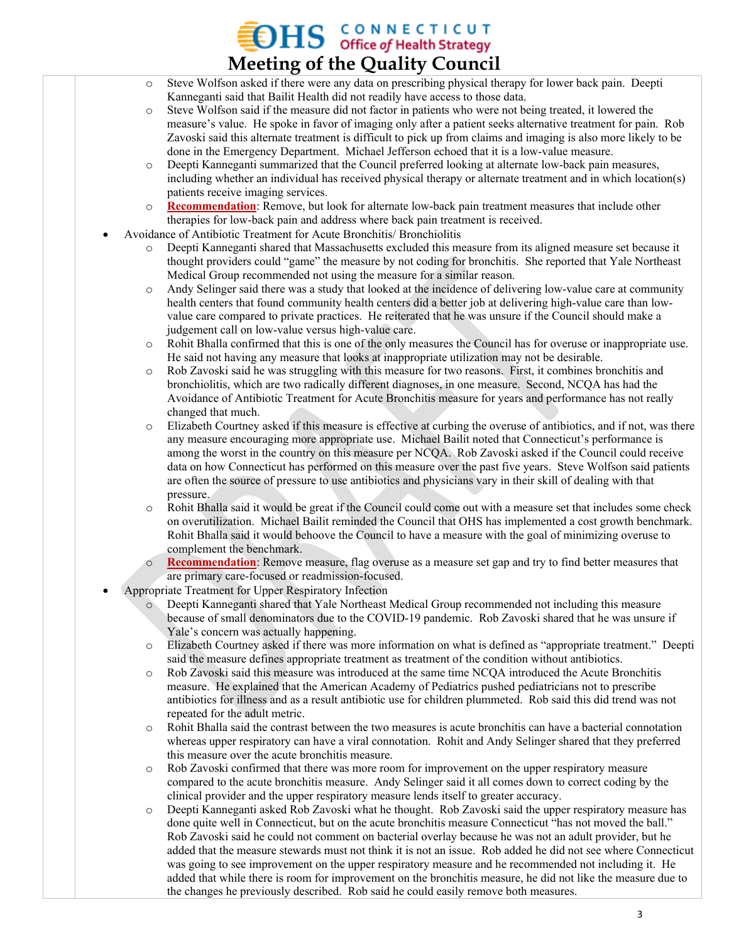### **OHS GONNECTICUT Meeting of the Quality Council**

- o Steve Wolfson asked if there were any data on prescribing physical therapy for lower back pain. Deepti Kanneganti said that Bailit Health did not readily have access to those data.
- o Steve Wolfson said if the measure did not factor in patients who were not being treated, it lowered the measure's value. He spoke in favor of imaging only after a patient seeks alternative treatment for pain. Rob Zavoski said this alternate treatment is difficult to pick up from claims and imaging is also more likely to be done in the Emergency Department. Michael Jefferson echoed that it is a low-value measure.
- o Deepti Kanneganti summarized that the Council preferred looking at alternate low-back pain measures, including whether an individual has received physical therapy or alternate treatment and in which location(s) patients receive imaging services.
- o **Recommendation**: Remove, but look for alternate low-back pain treatment measures that include other therapies for low-back pain and address where back pain treatment is received.
- Avoidance of Antibiotic Treatment for Acute Bronchitis/ Bronchiolitis
	- Deepti Kanneganti shared that Massachusetts excluded this measure from its aligned measure set because it thought providers could "game" the measure by not coding for bronchitis. She reported that Yale Northeast Medical Group recommended not using the measure for a similar reason.
	- o Andy Selinger said there was a study that looked at the incidence of delivering low-value care at community health centers that found community health centers did a better job at delivering high-value care than lowvalue care compared to private practices. He reiterated that he was unsure if the Council should make a judgement call on low-value versus high-value care.
	- o Rohit Bhalla confirmed that this is one of the only measures the Council has for overuse or inappropriate use. He said not having any measure that looks at inappropriate utilization may not be desirable.
	- o Rob Zavoski said he was struggling with this measure for two reasons. First, it combines bronchitis and bronchiolitis, which are two radically different diagnoses, in one measure. Second, NCQA has had the Avoidance of Antibiotic Treatment for Acute Bronchitis measure for years and performance has not really changed that much.
	- o Elizabeth Courtney asked if this measure is effective at curbing the overuse of antibiotics, and if not, was there any measure encouraging more appropriate use. Michael Bailit noted that Connecticut's performance is among the worst in the country on this measure per NCQA. Rob Zavoski asked if the Council could receive data on how Connecticut has performed on this measure over the past five years. Steve Wolfson said patients are often the source of pressure to use antibiotics and physicians vary in their skill of dealing with that pressure.
	- o Rohit Bhalla said it would be great if the Council could come out with a measure set that includes some check on overutilization. Michael Bailit reminded the Council that OHS has implemented a cost growth benchmark. Rohit Bhalla said it would behoove the Council to have a measure with the goal of minimizing overuse to complement the benchmark.
	- o **Recommendation**: Remove measure, flag overuse as a measure set gap and try to find better measures that are primary care-focused or readmission-focused.
- Appropriate Treatment for Upper Respiratory Infection
	- o Deepti Kanneganti shared that Yale Northeast Medical Group recommended not including this measure because of small denominators due to the COVID-19 pandemic. Rob Zavoski shared that he was unsure if Yale's concern was actually happening.
	- o Elizabeth Courtney asked if there was more information on what is defined as "appropriate treatment." Deepti said the measure defines appropriate treatment as treatment of the condition without antibiotics.
	- o Rob Zavoski said this measure was introduced at the same time NCQA introduced the Acute Bronchitis measure. He explained that the American Academy of Pediatrics pushed pediatricians not to prescribe antibiotics for illness and as a result antibiotic use for children plummeted. Rob said this did trend was not repeated for the adult metric.
	- o Rohit Bhalla said the contrast between the two measures is acute bronchitis can have a bacterial connotation whereas upper respiratory can have a viral connotation. Rohit and Andy Selinger shared that they preferred this measure over the acute bronchitis measure.
	- Rob Zavoski confirmed that there was more room for improvement on the upper respiratory measure compared to the acute bronchitis measure. Andy Selinger said it all comes down to correct coding by the clinical provider and the upper respiratory measure lends itself to greater accuracy.
	- Deepti Kanneganti asked Rob Zavoski what he thought. Rob Zavoski said the upper respiratory measure has done quite well in Connecticut, but on the acute bronchitis measure Connecticut "has not moved the ball." Rob Zavoski said he could not comment on bacterial overlay because he was not an adult provider, but he added that the measure stewards must not think it is not an issue. Rob added he did not see where Connecticut was going to see improvement on the upper respiratory measure and he recommended not including it. He added that while there is room for improvement on the bronchitis measure, he did not like the measure due to the changes he previously described. Rob said he could easily remove both measures.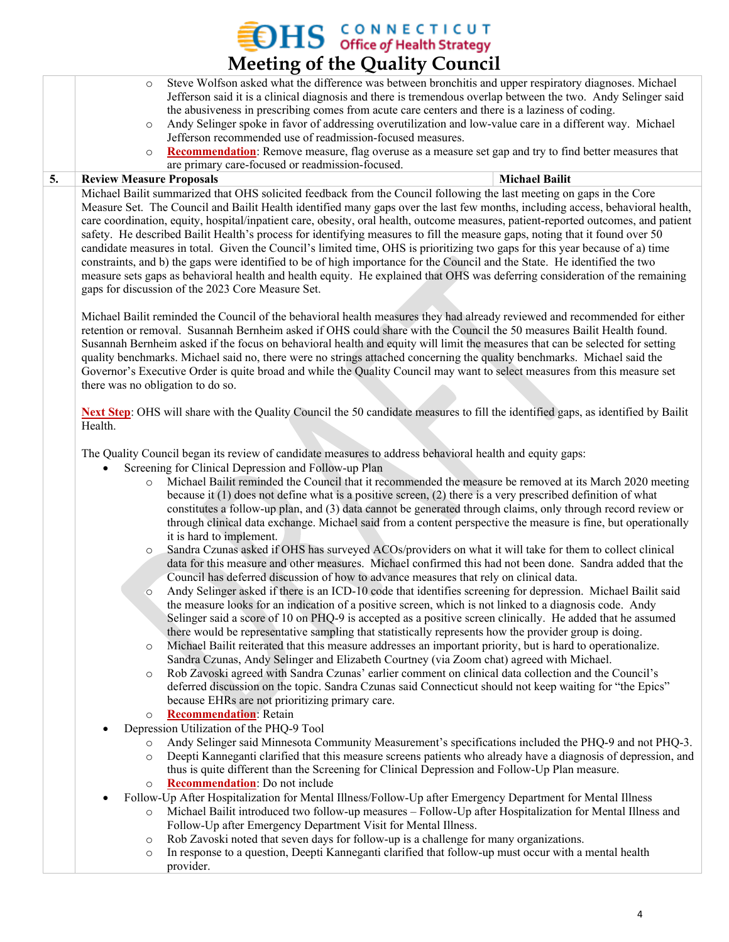$\sum_{\text{office of Health Strategy}}$ **Meeting of the Quality Council** o Steve Wolfson asked what the difference was between bronchitis and upper respiratory diagnoses. Michael Jefferson said it is a clinical diagnosis and there is tremendous overlap between the two. Andy Selinger said the abusiveness in prescribing comes from acute care centers and there is a laziness of coding. o Andy Selinger spoke in favor of addressing overutilization and low-value care in a different way. Michael Jefferson recommended use of readmission-focused measures. o **Recommendation**: Remove measure, flag overuse as a measure set gap and try to find better measures that are primary care-focused or readmission-focused. **5. Review Measure Proposals Michael Bailit**

Michael Bailit summarized that OHS solicited feedback from the Council following the last meeting on gaps in the Core Measure Set. The Council and Bailit Health identified many gaps over the last few months, including access, behavioral health, care coordination, equity, hospital/inpatient care, obesity, oral health, outcome measures, patient-reported outcomes, and patient safety. He described Bailit Health's process for identifying measures to fill the measure gaps, noting that it found over 50 candidate measures in total. Given the Council's limited time, OHS is prioritizing two gaps for this year because of a) time constraints, and b) the gaps were identified to be of high importance for the Council and the State. He identified the two measure sets gaps as behavioral health and health equity. He explained that OHS was deferring consideration of the remaining gaps for discussion of the 2023 Core Measure Set.

Michael Bailit reminded the Council of the behavioral health measures they had already reviewed and recommended for either retention or removal. Susannah Bernheim asked if OHS could share with the Council the 50 measures Bailit Health found. Susannah Bernheim asked if the focus on behavioral health and equity will limit the measures that can be selected for setting quality benchmarks. Michael said no, there were no strings attached concerning the quality benchmarks. Michael said the Governor's Executive Order is quite broad and while the Quality Council may want to select measures from this measure set there was no obligation to do so.

**Next Step**: OHS will share with the Quality Council the 50 candidate measures to fill the identified gaps, as identified by Bailit Health.

The Quality Council began its review of candidate measures to address behavioral health and equity gaps:

- Screening for Clinical Depression and Follow-up Plan
	- o Michael Bailit reminded the Council that it recommended the measure be removed at its March 2020 meeting because it (1) does not define what is a positive screen, (2) there is a very prescribed definition of what constitutes a follow-up plan, and (3) data cannot be generated through claims, only through record review or through clinical data exchange. Michael said from a content perspective the measure is fine, but operationally it is hard to implement.
	- o Sandra Czunas asked if OHS has surveyed ACOs/providers on what it will take for them to collect clinical data for this measure and other measures. Michael confirmed this had not been done. Sandra added that the Council has deferred discussion of how to advance measures that rely on clinical data.
	- o Andy Selinger asked if there is an ICD-10 code that identifies screening for depression. Michael Bailit said the measure looks for an indication of a positive screen, which is not linked to a diagnosis code. Andy Selinger said a score of 10 on PHQ-9 is accepted as a positive screen clinically. He added that he assumed there would be representative sampling that statistically represents how the provider group is doing.
	- o Michael Bailit reiterated that this measure addresses an important priority, but is hard to operationalize. Sandra Czunas, Andy Selinger and Elizabeth Courtney (via Zoom chat) agreed with Michael.
	- o Rob Zavoski agreed with Sandra Czunas' earlier comment on clinical data collection and the Council's deferred discussion on the topic. Sandra Czunas said Connecticut should not keep waiting for "the Epics" because EHRs are not prioritizing primary care.
	- o **Recommendation**: Retain
- Depression Utilization of the PHQ-9 Tool
	- o Andy Selinger said Minnesota Community Measurement's specifications included the PHQ-9 and not PHQ-3.
	- o Deepti Kanneganti clarified that this measure screens patients who already have a diagnosis of depression, and thus is quite different than the Screening for Clinical Depression and Follow-Up Plan measure.
	- o **Recommendation**: Do not include
- Follow-Up After Hospitalization for Mental Illness/Follow-Up after Emergency Department for Mental Illness
	- o Michael Bailit introduced two follow-up measures Follow-Up after Hospitalization for Mental Illness and Follow-Up after Emergency Department Visit for Mental Illness.
	- o Rob Zavoski noted that seven days for follow-up is a challenge for many organizations.
	- o In response to a question, Deepti Kanneganti clarified that follow-up must occur with a mental health provider.